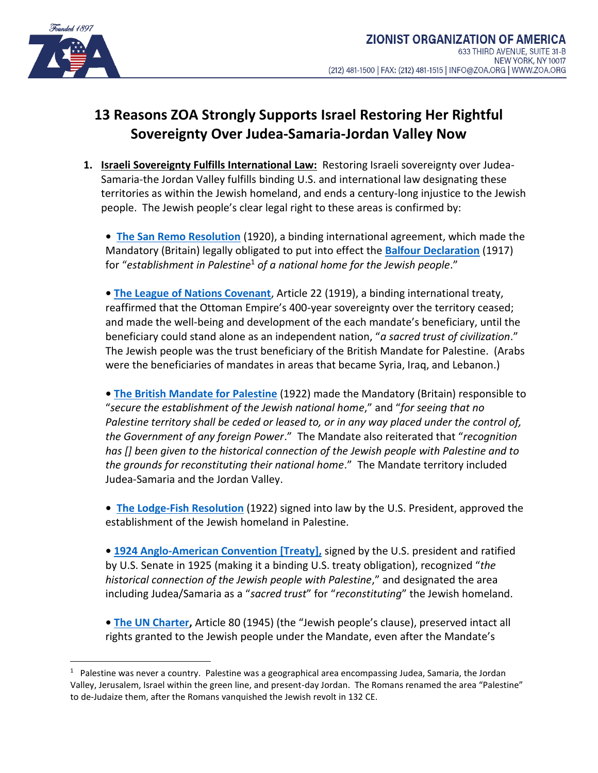

 $\overline{a}$ 

## **13 Reasons ZOA Strongly Supports Israel Restoring Her Rightful Sovereignty Over Judea-Samaria-Jordan Valley Now**

**1. Israeli Sovereignty Fulfills International Law:** Restoring Israeli sovereignty over Judea-Samaria-the Jordan Valley fulfills binding U.S. and international law designating these territories as within the Jewish homeland, and ends a century-long injustice to the Jewish people. The Jewish people's clear legal right to these areas is confirmed by:

**• [The San Remo Resolution](http://www.jewishvirtuallibrary.org/the-san-remo-conference)** (1920), a binding international agreement, which made the Mandatory (Britain) legally obligated to put into effect the **[Balfour Declaration](http://www.mfa.gov.il/mfa/foreignpolicy/peace/guide/pages/the%20balfour%20declaration.aspx)** (1917) for "*establishment in Palestine*<sup>1</sup> *of a national home for the Jewish people*."

**• The League [of Nations Covenant](http://avalon.law.yale.edu/20th_century/leagcov.asp)**, Article 22 (1919), a binding international treaty, reaffirmed that the Ottoman Empire's 400-year sovereignty over the territory ceased; and made the well-being and development of the each mandate's beneficiary, until the beneficiary could stand alone as an independent nation, "*a sacred trust of civilization*." The Jewish people was the trust beneficiary of the British Mandate for Palestine. (Arabs were the beneficiaries of mandates in areas that became Syria, Iraq, and Lebanon.)

**• [The British Mandate for Palestine](http://mfa.gov.il/MFA/ForeignPolicy/Peace/Guide/Pages/The%20Mandate%20for%20Palestine.aspx)** (1922) made the Mandatory (Britain) responsible to "*secure the establishment of the Jewish national home*," and "*for seeing that no Palestine territory shall be ceded or leased to, or in any way placed under the control of, the Government of any foreign Power*." The Mandate also reiterated that "*recognition has [] been given to the historical connection of the Jewish people with Palestine and to the grounds for reconstituting their national home*." The Mandate territory included Judea-Samaria and the Jordan Valley.

**• [The Lodge-Fish Resolution](https://www.loc.gov/law/help/statutes-at-large/67th-congress/Session%202/c67s2ch372.pdf)** (1922) signed into law by the U.S. President, approved the establishment of the Jewish homeland in Palestine.

**• [1924 Anglo-American Convention \[Treaty\],](http://www.alliedpowersholocaust.org/wp-content/uploads/2015/03/1924-Anglo-American-Convention.pdf)** signed by the U.S. president and ratified by U.S. Senate in 1925 (making it a binding U.S. treaty obligation), recognized "*the historical connection of the Jewish people with Palestine*," and designated the area including Judea/Samaria as a "*sacred trust*" for "*reconstituting*" the Jewish homeland.

**• [The UN Charter,](http://www.un.org/en/sections/un-charter/chapter-xii/index.html)** Article 80 (1945) (the "Jewish people's clause), preserved intact all rights granted to the Jewish people under the Mandate, even after the Mandate's

<sup>&</sup>lt;sup>1</sup> Palestine was never a country. Palestine was a geographical area encompassing Judea, Samaria, the Jordan Valley, Jerusalem, Israel within the green line, and present-day Jordan. The Romans renamed the area "Palestine" to de-Judaize them, after the Romans vanquished the Jewish revolt in 132 CE.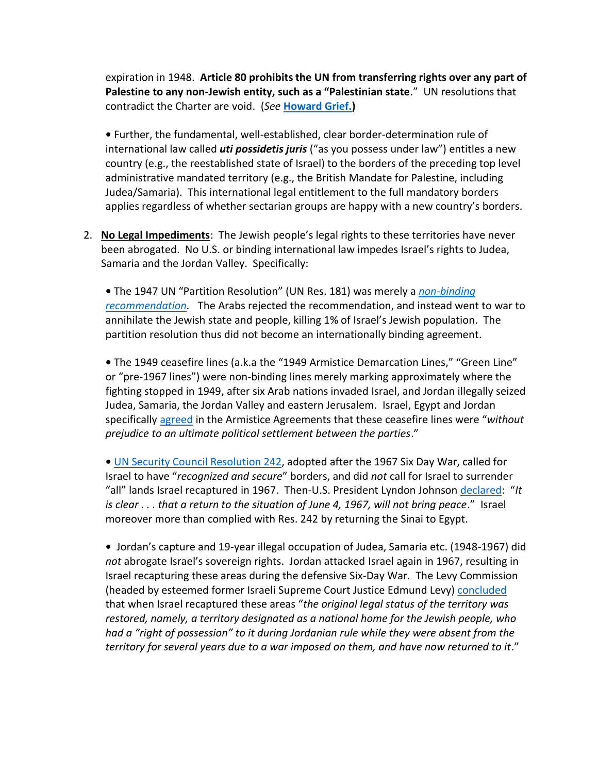expiration in 1948. **Article 80 prohibits the UN from transferring rights over any part of Palestine to any non-Jewish entity, such as a "Palestinian state**." UN resolutions that contradict the Charter are void. (*See* **[Howard Grief.\)](https://www.algemeiner.com/2011/09/22/article-80-and-the-un-recognition-of-a-)**

**•** Further, the fundamental, well-established, clear border-determination rule of international law called *uti possidetis juris* ("as you possess under law") entitles a new country (e.g., the reestablished state of Israel) to the borders of the preceding top level administrative mandated territory (e.g., the British Mandate for Palestine, including Judea/Samaria). This international legal entitlement to the full mandatory borders applies regardless of whether sectarian groups are happy with a new country's borders.

2. **No Legal Impediments**: The Jewish people's legal rights to these territories have never been abrogated. No U.S. or binding international law impedes Israel's rights to Judea, Samaria and the Jordan Valley. Specifically:

**•** The 1947 UN "Partition Resolution" (UN Res. 181) was merely a *[non-binding](http://www.mfa.gov.il/mfa/foreignpolicy/peace/guide/pages/un%20general%20assembly%20r%20esolution%20181.aspx)  [recommendation.](http://www.mfa.gov.il/mfa/foreignpolicy/peace/guide/pages/un%20general%20assembly%20r%20esolution%20181.aspx)* The Arabs rejected the recommendation, and instead went to war to annihilate the Jewish state and people, killing 1% of Israel's Jewish population. The partition resolution thus did not become an internationally binding agreement.

**•** The 1949 ceasefire lines (a.k.a the "1949 Armistice Demarcation Lines," "Green Line" or "pre-1967 lines") were non-binding lines merely marking approximately where the fighting stopped in 1949, after six Arab nations invaded Israel, and Jordan illegally seized Judea, Samaria, the Jordan Valley and eastern Jerusalem. Israel, Egypt and Jordan specificall[y agreed](http://www.mfa.gov.il/mfa/foreignpolicy/mfadocuments/yearbook1/pages/israel-%20jordan%20armistice%20agreement.aspx) in the Armistice Agreements that these ceasefire lines were "*without prejudice to an ultimate political settlement between the parties*."

**•** [UN Security Council Resolution 242,](http://mfa.gov.il/MFA/ForeignPolicy/Peace/Guide/Pages/UN%20Security%20Council%20Resol%20ution%20242.aspx) adopted after the 1967 Six Day War, called for Israel to have "*recognized and secure*" borders, and did *not* call for Israel to surrender "all" lands Israel recaptured in 1967. Then-U.S. President Lyndon Johnson [declared](http://www.jewishvirtuallibrary.org/president-johnson-speech-on-%20ldquo-a-just-and-dignified-peace-rdquo-september-1968): "*It is clear . . . that a return to the situation of June 4, 1967, will not bring peace*." Israel moreover more than complied with Res. 242 by returning the Sinai to Egypt.

**•** Jordan's capture and 19-year illegal occupation of Judea, Samaria etc. (1948-1967) did *not* abrogate Israel's sovereign rights. Jordan attacked Israel again in 1967, resulting in Israel recapturing these areas during the defensive Six-Day War. The Levy Commission (headed by esteemed former Israeli Supreme Court Justice Edmund Levy) [concluded](http://www.regavim.org/wp-content/uploads/2014/11/The-Levy-Commission-Report-on-the-%20Legal-Status-of-Building-in-Judea-and-Samaria2.pdf) that when Israel recaptured these areas "*the original legal status of the territory was restored, namely, a territory designated as a national home for the Jewish people, who had a "right of possession" to it during Jordanian rule while they were absent from the territory for several years due to a war imposed on them, and have now returned to it*."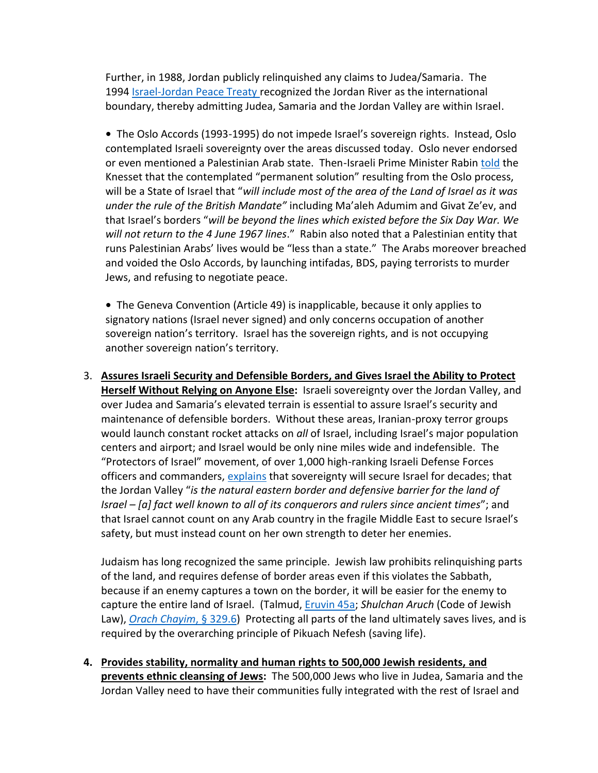Further, in 1988, Jordan publicly relinquished any claims to Judea/Samaria. The 1994 [Israel-Jordan Peace Treaty](http://www.mfa.gov.il/mfa/foreignpolicy/peace/guide/pages/israel-jordan%20peace%20treaty.aspx) recognized the Jordan River as the international boundary, thereby admitting Judea, Samaria and the Jordan Valley are within Israel.

**•** The Oslo Accords (1993-1995) do not impede Israel's sovereign rights. Instead, Oslo contemplated Israeli sovereignty over the areas discussed today. Oslo never endorsed or even mentioned a Palestinian Arab state. Then-Israeli Prime Minister Rabin [told](http://mfa.gov.il/MFA/MFA-Archive/1995/Pages/PM%20Rabin%20in%20Knesset-%20%20Ratification%20of%20Interim%20Agree.aspx) the Knesset that the contemplated "permanent solution" resulting from the Oslo process, will be a State of Israel that "*will include most of the area of the Land of Israel as it was under the rule of the British Mandate"* including Ma'aleh Adumim and Givat Ze'ev, and that Israel's borders "*will be beyond the lines which existed before the Six Day War. We will not return to the 4 June 1967 lines*." Rabin also noted that a Palestinian entity that runs Palestinian Arabs' lives would be "less than a state." The Arabs moreover breached and voided the Oslo Accords, by launching intifadas, BDS, paying terrorists to murder Jews, and refusing to negotiate peace.

**•** The Geneva Convention (Article 49) is inapplicable, because it only applies to signatory nations (Israel never signed) and only concerns occupation of another sovereign nation's territory. Israel has the sovereign rights, and is not occupying another sovereign nation's territory.

3. **Assures Israeli Security and Defensible Borders, and Gives Israel the Ability to Protect Herself Without Relying on Anyone Else:** Israeli sovereignty over the Jordan Valley, and over Judea and Samaria's elevated terrain is essential to assure Israel's security and maintenance of defensible borders. Without these areas, Iranian-proxy terror groups would launch constant rocket attacks on *all* of Israel, including Israel's major population centers and airport; and Israel would be only nine miles wide and indefensible. The "Protectors of Israel" movement, of over 1,000 high-ranking Israeli Defense Forces officers and commanders, [explains](http://www.israelnationalnews.com/News/News.aspx/280336) that sovereignty will secure Israel for decades; that the Jordan Valley "*is the natural eastern border and defensive barrier for the land of Israel – [a] fact well known to all of its conquerors and rulers since ancient times*"; and that Israel cannot count on any Arab country in the fragile Middle East to secure Israel's safety, but must instead count on her own strength to deter her enemies.

Judaism has long recognized the same principle. Jewish law prohibits relinquishing parts of the land, and requires defense of border areas even if this violates the Sabbath, because if an enemy captures a town on the border, it will be easier for the enemy to capture the entire land of Israel. (Talmud, [Eruvin 45a;](https://www.sefaria.org/Eruvin.45a?lang=bi) *Shulchan Aruch* (Code of Jewish Law), *[Orach Chayim](https://www.sefaria.org/Shulchan_Arukh%2C_Orach_Chayim.329?lang=bi)*, § 329.6) Protecting all parts of the land ultimately saves lives, and is required by the overarching principle of Pikuach Nefesh (saving life).

**4. Provides stability, normality and human rights to 500,000 Jewish residents, and prevents ethnic cleansing of Jews:** The 500,000 Jews who live in Judea, Samaria and the Jordan Valley need to have their communities fully integrated with the rest of Israel and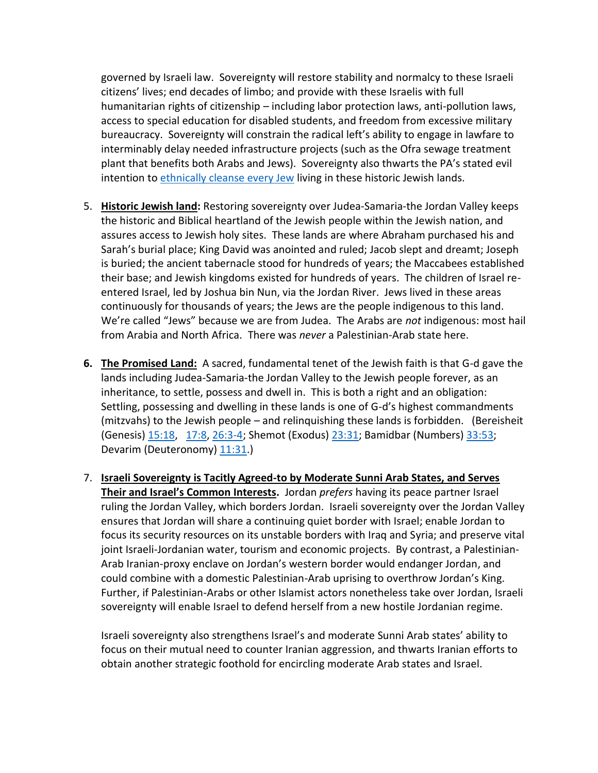governed by Israeli law. Sovereignty will restore stability and normalcy to these Israeli citizens' lives; end decades of limbo; and provide with these Israelis with full humanitarian rights of citizenship – including labor protection laws, anti-pollution laws, access to special education for disabled students, and freedom from excessive military bureaucracy. Sovereignty will constrain the radical left's ability to engage in lawfare to interminably delay needed infrastructure projects (such as the Ofra sewage treatment plant that benefits both Arabs and Jews). Sovereignty also thwarts the PA's stated evil intention to [ethnically cleanse every Jew](https://www.reuters.com/article/us-palestinians-israel-abbas/abbas-wants-not-a-single-israeli-in-future-palestinian-state-idUSBRE96T00920130730) living in these historic Jewish lands.

- 5. **Historic Jewish land:** Restoring sovereignty over Judea-Samaria-the Jordan Valley keeps the historic and Biblical heartland of the Jewish people within the Jewish nation, and assures access to Jewish holy sites. These lands are where Abraham purchased his and Sarah's burial place; King David was anointed and ruled; Jacob slept and dreamt; Joseph is buried; the ancient tabernacle stood for hundreds of years; the Maccabees established their base; and Jewish kingdoms existed for hundreds of years. The children of Israel reentered Israel, led by Joshua bin Nun, via the Jordan River. Jews lived in these areas continuously for thousands of years; the Jews are the people indigenous to this land. We're called "Jews" because we are from Judea. The Arabs are *not* indigenous: most hail from Arabia and North Africa. There was *never* a Palestinian-Arab state here.
- **6. The Promised Land:** A sacred, fundamental tenet of the Jewish faith is that G-d gave the lands including Judea-Samaria-the Jordan Valley to the Jewish people forever, as an inheritance, to settle, possess and dwell in. This is both a right and an obligation: Settling, possessing and dwelling in these lands is one of G-d's highest commandments (mitzvahs) to the Jewish people – and relinquishing these lands is forbidden. (Bereisheit (Genesis) [15:18,](https://www.chabad.org/library/bible_cdo/aid/8210/jewish/Chapter-15.htm) [17:8,](https://www.chabad.org/library/bible_cdo/aid/8212/jewish/Chapter-17.htm) [26:3-4;](https://www.chabad.org/library/bible_cdo/aid/8221) Shemot (Exodus[\) 23:31;](https://www.chabad.org/library/bible_cdo/aid/9884) Bamidbar (Numbers[\) 33:53;](https://www.chabad.org/library/bible_cdo/aid/9961/jewish/Chapter-33.htm) Devarim (Deuteronomy) [11:31.](https://www.chabad.org/library/bible_cdo/aid/9975/jewish/Chapter-11.htm))
- 7. **Israeli Sovereignty is Tacitly Agreed-to by Moderate Sunni Arab States, and Serves Their and Israel's Common Interests.** Jordan *prefers* having its peace partner Israel ruling the Jordan Valley, which borders Jordan. Israeli sovereignty over the Jordan Valley ensures that Jordan will share a continuing quiet border with Israel; enable Jordan to focus its security resources on its unstable borders with Iraq and Syria; and preserve vital joint Israeli-Jordanian water, tourism and economic projects. By contrast, a Palestinian-Arab Iranian-proxy enclave on Jordan's western border would endanger Jordan, and could combine with a domestic Palestinian-Arab uprising to overthrow Jordan's King. Further, if Palestinian-Arabs or other Islamist actors nonetheless take over Jordan, Israeli sovereignty will enable Israel to defend herself from a new hostile Jordanian regime.

Israeli sovereignty also strengthens Israel's and moderate Sunni Arab states' ability to focus on their mutual need to counter Iranian aggression, and thwarts Iranian efforts to obtain another strategic foothold for encircling moderate Arab states and Israel.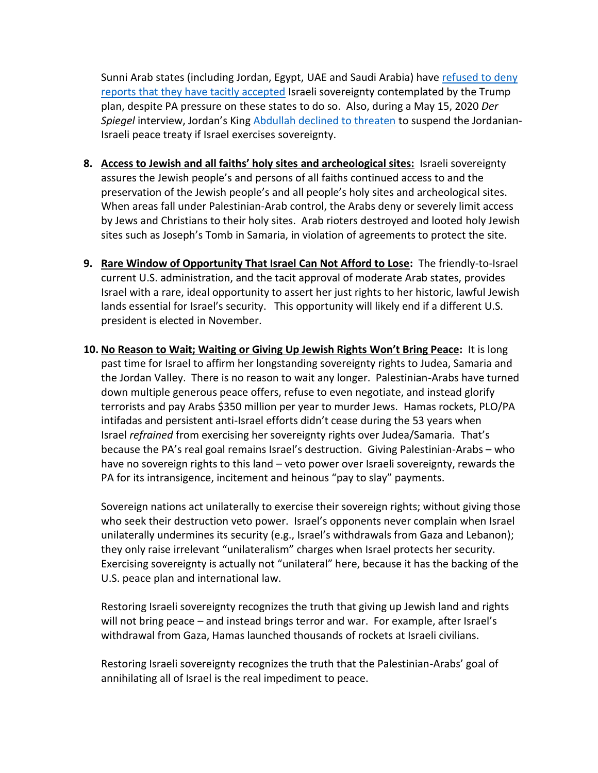Sunni Arab states (including Jordan, Egypt, UAE and Saudi Arabia) hav[e refused to deny](http://www.israelnationalnews.com/News/News.aspx/281137)  [reports that they have tacitly accepted](http://www.israelnationalnews.com/News/News.aspx/281137) Israeli sovereignty contemplated by the Trump plan, despite PA pressure on these states to do so. Also, during a May 15, 2020 *Der Spiegel* interview, Jordan's King [Abdullah declined to threaten](https://www.israelhayom.com/opinions/king-abdullahs-empty-threats/) to suspend the Jordanian-Israeli peace treaty if Israel exercises sovereignty.

- **8. Access to Jewish and all faiths' holy sites and archeological sites:** Israeli sovereignty assures the Jewish people's and persons of all faiths continued access to and the preservation of the Jewish people's and all people's holy sites and archeological sites. When areas fall under Palestinian-Arab control, the Arabs deny or severely limit access by Jews and Christians to their holy sites. Arab rioters destroyed and looted holy Jewish sites such as Joseph's Tomb in Samaria, in violation of agreements to protect the site.
- **9. Rare Window of Opportunity That Israel Can Not Afford to Lose:** The friendly-to-Israel current U.S. administration, and the tacit approval of moderate Arab states, provides Israel with a rare, ideal opportunity to assert her just rights to her historic, lawful Jewish lands essential for Israel's security. This opportunity will likely end if a different U.S. president is elected in November.
- **10. No Reason to Wait; Waiting or Giving Up Jewish Rights Won't Bring Peace:** It is long past time for Israel to affirm her longstanding sovereignty rights to Judea, Samaria and the Jordan Valley. There is no reason to wait any longer. Palestinian-Arabs have turned down multiple generous peace offers, refuse to even negotiate, and instead glorify terrorists and pay Arabs \$350 million per year to murder Jews. Hamas rockets, PLO/PA intifadas and persistent anti-Israel efforts didn't cease during the 53 years when Israel *refrained* from exercising her sovereignty rights over Judea/Samaria. That's because the PA's real goal remains Israel's destruction. Giving Palestinian-Arabs – who have no sovereign rights to this land – veto power over Israeli sovereignty, rewards the PA for its intransigence, incitement and heinous "pay to slay" payments.

Sovereign nations act unilaterally to exercise their sovereign rights; without giving those who seek their destruction veto power. Israel's opponents never complain when Israel unilaterally undermines its security (e.g., Israel's withdrawals from Gaza and Lebanon); they only raise irrelevant "unilateralism" charges when Israel protects her security. Exercising sovereignty is actually not "unilateral" here, because it has the backing of the U.S. peace plan and international law.

Restoring Israeli sovereignty recognizes the truth that giving up Jewish land and rights will not bring peace – and instead brings terror and war. For example, after Israel's withdrawal from Gaza, Hamas launched thousands of rockets at Israeli civilians.

Restoring Israeli sovereignty recognizes the truth that the Palestinian-Arabs' goal of annihilating all of Israel is the real impediment to peace.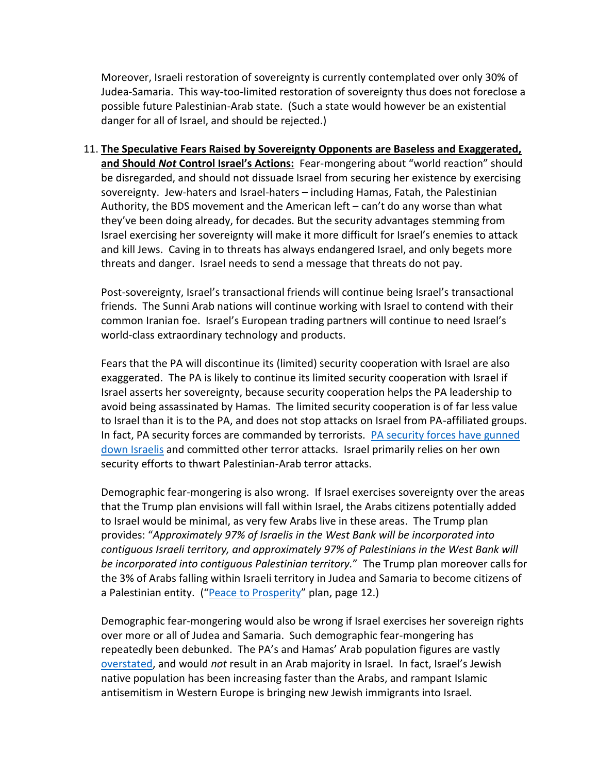Moreover, Israeli restoration of sovereignty is currently contemplated over only 30% of Judea-Samaria. This way-too-limited restoration of sovereignty thus does not foreclose a possible future Palestinian-Arab state. (Such a state would however be an existential danger for all of Israel, and should be rejected.)

11. **The Speculative Fears Raised by Sovereignty Opponents are Baseless and Exaggerated, and Should** *Not* **Control Israel's Actions:** Fear-mongering about "world reaction" should be disregarded, and should not dissuade Israel from securing her existence by exercising sovereignty. Jew-haters and Israel-haters – including Hamas, Fatah, the Palestinian Authority, the BDS movement and the American left – can't do any worse than what they've been doing already, for decades. But the security advantages stemming from Israel exercising her sovereignty will make it more difficult for Israel's enemies to attack and kill Jews. Caving in to threats has always endangered Israel, and only begets more threats and danger. Israel needs to send a message that threats do not pay.

Post-sovereignty, Israel's transactional friends will continue being Israel's transactional friends. The Sunni Arab nations will continue working with Israel to contend with their common Iranian foe. Israel's European trading partners will continue to need Israel's world-class extraordinary technology and products.

Fears that the PA will discontinue its (limited) security cooperation with Israel are also exaggerated. The PA is likely to continue its limited security cooperation with Israel if Israel asserts her sovereignty, because security cooperation helps the PA leadership to avoid being assassinated by Hamas. The limited security cooperation is of far less value to Israel than it is to the PA, and does not stop attacks on Israel from PA-affiliated groups. In fact, PA security forces are commanded by terrorists. PA security forces have gunned [down Israelis](https://www.jpost.com/opinion/our-world-the-idfs-misplaced-trust-in-the-pa-443627) and committed other terror attacks. Israel primarily relies on her own security efforts to thwart Palestinian-Arab terror attacks.

Demographic fear-mongering is also wrong. If Israel exercises sovereignty over the areas that the Trump plan envisions will fall within Israel, the Arabs citizens potentially added to Israel would be minimal, as very few Arabs live in these areas. The Trump plan provides: "*Approximately 97% of Israelis in the West Bank will be incorporated into contiguous Israeli territory, and approximately 97% of Palestinians in the West Bank will be incorporated into contiguous Palestinian territory.*" The Trump plan moreover calls for the 3% of Arabs falling within Israeli territory in Judea and Samaria to become citizens of a Palestinian entity. ("[Peace to Prosperity](https://www.whitehouse.gov/wp-content/uploads/2020/01/Peace-to-Prosperity-0120.pdf)" plan, page 12.)

Demographic fear-mongering would also be wrong if Israel exercises her sovereign rights over more or all of Judea and Samaria. Such demographic fear-mongering has repeatedly been debunked. The PA's and Hamas' Arab population figures are vastly [overstated,](https://www.jpost.com/opinion/column-one-time-to-end-demographic-fear-mongering-547482) and would *not* result in an Arab majority in Israel. In fact, Israel's Jewish native population has been increasing faster than the Arabs, and rampant Islamic antisemitism in Western Europe is bringing new Jewish immigrants into Israel.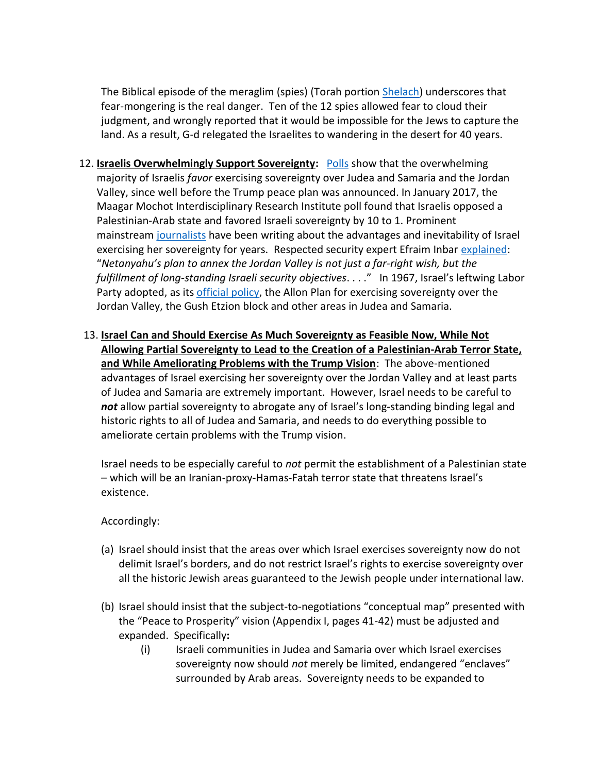The Biblical episode of the meraglim (spies) (Torah portion [Shelach\)](https://www.chabad.org/library/article_cdo/aid/3700062/jewish/The-12-Spies-Meraglim-in-the-Bible.htm) underscores that fear-mongering is the real danger. Ten of the 12 spies allowed fear to cloud their judgment, and wrongly reported that it would be impossible for the Jews to capture the land. As a result, G-d relegated the Israelites to wandering in the desert for 40 years.

- 12. **Israelis Overwhelmingly Support Sovereignty:** [Polls](https://zoa.org/2017/04/10358368-new-polls-show-overwhelming-opposition-to-palestinian-arab-state-and-concessions/) show that the overwhelming majority of Israelis *favor* exercising sovereignty over Judea and Samaria and the Jordan Valley, since well before the Trump peace plan was announced. In January 2017, the Maagar Mochot Interdisciplinary Research Institute poll found that Israelis opposed a Palestinian-Arab state and favored Israeli sovereignty by 10 to 1. Prominent mainstream [journalists](https://carolineglick.com/israeli-sovereignty-over-judea-and-samaria-is-inevitable/) have been writing about the advantages and inevitability of Israel exercising her sovereignty for years. Respected security expert Efraim Inbar [explained:](http://www.israelnationalnews.com/News/News.aspx/279767) "*Netanyahu's plan to annex the Jordan Valley is not just a far-right wish, but the fulfillment of long-standing Israeli security objectives*. . . ." In 1967, Israel's leftwing Labor Party adopted, as its [official policy,](http://www.israelnationalnews.com/News/News.aspx/281257) the Allon Plan for exercising sovereignty over the Jordan Valley, the Gush Etzion block and other areas in Judea and Samaria.
- 13. **Israel Can and Should Exercise As Much Sovereignty as Feasible Now, While Not Allowing Partial Sovereignty to Lead to the Creation of a Palestinian-Arab Terror State, and While Ameliorating Problems with the Trump Vision**: The above-mentioned advantages of Israel exercising her sovereignty over the Jordan Valley and at least parts of Judea and Samaria are extremely important. However, Israel needs to be careful to *not* allow partial sovereignty to abrogate any of Israel's long-standing binding legal and historic rights to all of Judea and Samaria, and needs to do everything possible to ameliorate certain problems with the Trump vision.

Israel needs to be especially careful to *not* permit the establishment of a Palestinian state – which will be an Iranian-proxy-Hamas-Fatah terror state that threatens Israel's existence.

## Accordingly:

- (a) Israel should insist that the areas over which Israel exercises sovereignty now do not delimit Israel's borders, and do not restrict Israel's rights to exercise sovereignty over all the historic Jewish areas guaranteed to the Jewish people under international law.
- (b) Israel should insist that the subject-to-negotiations "conceptual map" presented with the "Peace to Prosperity" vision (Appendix I, pages 41-42) must be adjusted and expanded. Specifically**:**
	- (i) Israeli communities in Judea and Samaria over which Israel exercises sovereignty now should *not* merely be limited, endangered "enclaves" surrounded by Arab areas. Sovereignty needs to be expanded to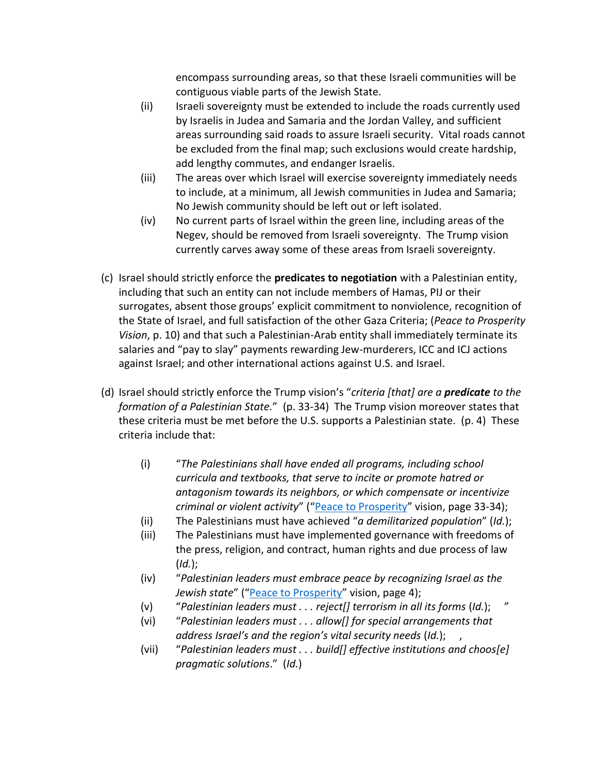encompass surrounding areas, so that these Israeli communities will be contiguous viable parts of the Jewish State.

- (ii) Israeli sovereignty must be extended to include the roads currently used by Israelis in Judea and Samaria and the Jordan Valley, and sufficient areas surrounding said roads to assure Israeli security. Vital roads cannot be excluded from the final map; such exclusions would create hardship, add lengthy commutes, and endanger Israelis.
- (iii) The areas over which Israel will exercise sovereignty immediately needs to include, at a minimum, all Jewish communities in Judea and Samaria; No Jewish community should be left out or left isolated.
- (iv) No current parts of Israel within the green line, including areas of the Negev, should be removed from Israeli sovereignty. The Trump vision currently carves away some of these areas from Israeli sovereignty.
- (c) Israel should strictly enforce the **predicates to negotiation** with a Palestinian entity, including that such an entity can not include members of Hamas, PIJ or their surrogates, absent those groups' explicit commitment to nonviolence, recognition of the State of Israel, and full satisfaction of the other Gaza Criteria; (*Peace to Prosperity Vision*, p. 10) and that such a Palestinian-Arab entity shall immediately terminate its salaries and "pay to slay" payments rewarding Jew-murderers, ICC and ICJ actions against Israel; and other international actions against U.S. and Israel.
- (d) Israel should strictly enforce the Trump vision's "*criteria [that] are a predicate to the formation of a Palestinian State.*" (p. 33-34) The Trump vision moreover states that these criteria must be met before the U.S. supports a Palestinian state. (p. 4) These criteria include that:
	- (i) "*The Palestinians shall have ended all programs, including school curricula and textbooks, that serve to incite or promote hatred or antagonism towards its neighbors, or which compensate or incentivize criminal or violent activity*" ("[Peace to Prosperity](https://www.whitehouse.gov/wp-content/uploads/2020/01/Peace-to-Prosperity-0120.pdf)" vision, page 33-34);
	- (ii) The Palestinians must have achieved "*a demilitarized population*" (*Id.*);
	- (iii) The Palestinians must have implemented governance with freedoms of the press, religion, and contract, human rights and due process of law (*Id.*);
	- (iv) "*Palestinian leaders must embrace peace by recognizing Israel as the Jewish state"* ("[Peace to Prosperity](https://www.whitehouse.gov/wp-content/uploads/2020/01/Peace-to-Prosperity-0120.pdf)" vision, page 4);
	- (v) "*Palestinian leaders must . . . reject[] terrorism in all its forms* (*Id.*); "
	- (vi) "*Palestinian leaders must . . . allow[] for special arrangements that address Israel's and the region's vital security needs* (*Id.*); ,
	- (vii) "*Palestinian leaders must . . . build[] effective institutions and choos[e] pragmatic solutions*." (*Id.*)